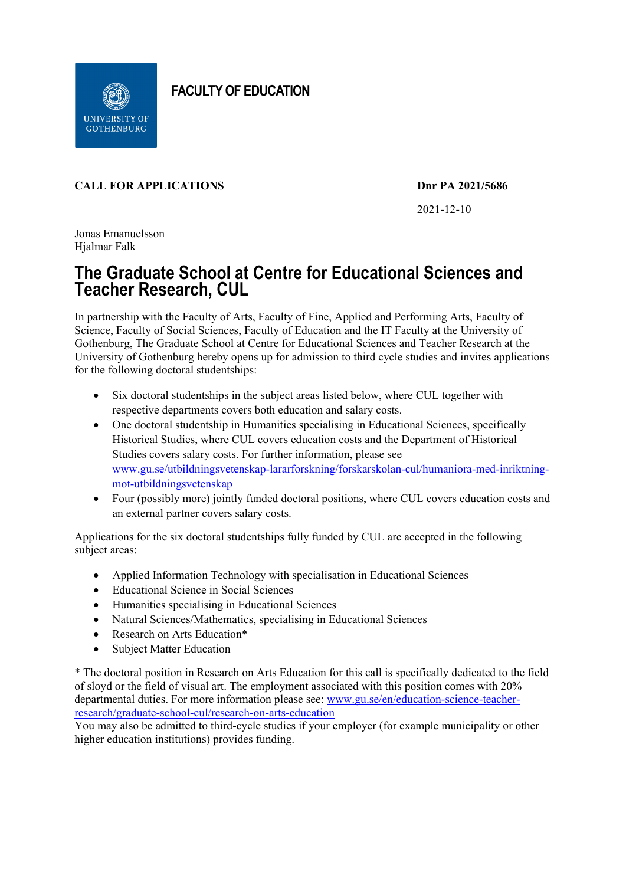

**FACULTY OF EDUCATION**

#### **CALL FOR APPLICATIONS Dnr PA 2021/5686**

2021-12-10

Jonas Emanuelsson Hjalmar Falk

# **The Graduate School at Centre for Educational Sciences and Teacher Research, CUL**

In partnership with the Faculty of Arts, Faculty of Fine, Applied and Performing Arts, Faculty of Science, Faculty of Social Sciences, Faculty of Education and the IT Faculty at the University of Gothenburg, The Graduate School at Centre for Educational Sciences and Teacher Research at the University of Gothenburg hereby opens up for admission to third cycle studies and invites applications for the following doctoral studentships:

- Six doctoral studentships in the subject areas listed below, where CUL together with respective departments covers both education and salary costs.
- One doctoral studentship in Humanities specialising in Educational Sciences, specifically Historical Studies, where CUL covers education costs and the Department of Historical Studies covers salary costs. For further information, please see [www.gu.se/utbildningsvetenskap-lararforskning/forskarskolan-cul/humaniora-med-inriktning](http://www.gu.se/utbildningsvetenskap-lararforskning/forskarskolan-cul/humaniora-med-inriktning-mot-utbildningsvetenskap)[mot-utbildningsvetenskap](http://www.gu.se/utbildningsvetenskap-lararforskning/forskarskolan-cul/humaniora-med-inriktning-mot-utbildningsvetenskap)
- Four (possibly more) jointly funded doctoral positions, where CUL covers education costs and an external partner covers salary costs.

Applications for the six doctoral studentships fully funded by CUL are accepted in the following subject areas:

- Applied Information Technology with specialisation in Educational Sciences
- Educational Science in Social Sciences
- Humanities specialising in Educational Sciences
- Natural Sciences/Mathematics, specialising in Educational Sciences
- Research on Arts Education\*
- **Subject Matter Education**

\* The doctoral position in Research on Arts Education for this call is specifically dedicated to the field of sloyd or the field of visual art. The employment associated with this position comes with 20% departmental duties. For more information please see: [www.gu.se/en/education-science-teacher](http://www.gu.se/en/education-science-teacher-research/graduate-school-cul/research-on-arts-education)[research/graduate-school-cul/research-on-arts-education](http://www.gu.se/en/education-science-teacher-research/graduate-school-cul/research-on-arts-education)

You may also be admitted to third-cycle studies if your employer (for example municipality or other higher education institutions) provides funding.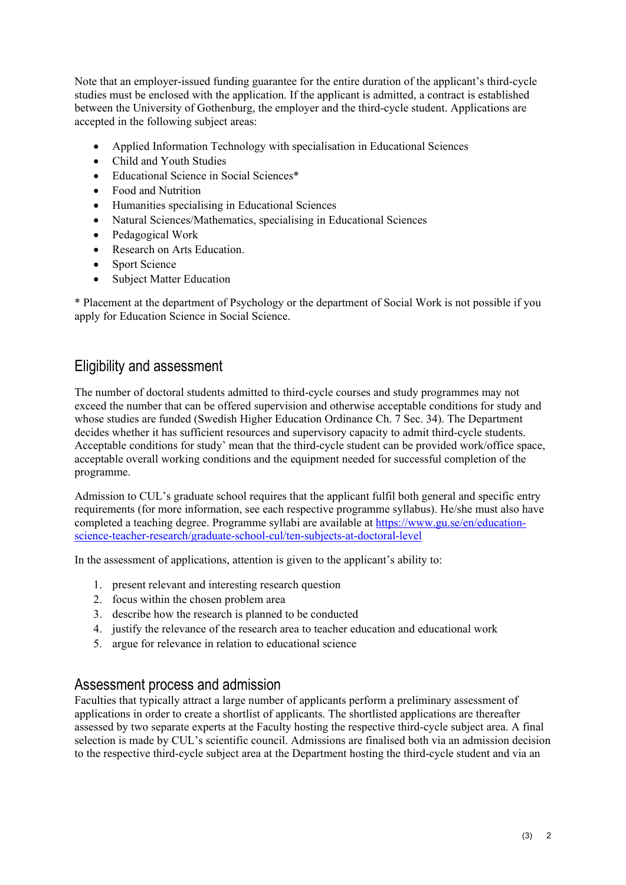Note that an employer-issued funding guarantee for the entire duration of the applicant's third-cycle studies must be enclosed with the application. If the applicant is admitted, a contract is established between the University of Gothenburg, the employer and the third-cycle student. Applications are accepted in the following subject areas:

- Applied Information Technology with specialisation in Educational Sciences
- Child and Youth Studies
- Educational Science in Social Sciences\*
- Food and Nutrition
- Humanities specialising in Educational Sciences
- Natural Sciences/Mathematics, specialising in Educational Sciences
- Pedagogical Work
- Research on Arts Education.
- Sport Science
- Subject Matter Education

\* Placement at the department of Psychology or the department of Social Work is not possible if you apply for Education Science in Social Science.

## Eligibility and assessment

The number of doctoral students admitted to third-cycle courses and study programmes may not exceed the number that can be offered supervision and otherwise acceptable conditions for study and whose studies are funded (Swedish Higher Education Ordinance Ch. 7 Sec. 34). The Department decides whether it has sufficient resources and supervisory capacity to admit third-cycle students. Acceptable conditions for study' mean that the third-cycle student can be provided work/office space, acceptable overall working conditions and the equipment needed for successful completion of the programme.

Admission to CUL's graduate school requires that the applicant fulfil both general and specific entry requirements (for more information, see each respective programme syllabus). He/she must also have completed a teaching degree. Programme syllabi are available at [https://www.gu.se/en/education](https://www.gu.se/en/education-science-teacher-research/graduate-school-cul/ten-subjects-at-doctoral-level)[science-teacher-research/graduate-school-cul/ten-subjects-at-doctoral-level](https://www.gu.se/en/education-science-teacher-research/graduate-school-cul/ten-subjects-at-doctoral-level)

In the assessment of applications, attention is given to the applicant's ability to:

- 1. present relevant and interesting research question
- 2. focus within the chosen problem area
- 3. describe how the research is planned to be conducted
- 4. justify the relevance of the research area to teacher education and educational work
- 5. argue for relevance in relation to educational science

### Assessment process and admission

Faculties that typically attract a large number of applicants perform a preliminary assessment of applications in order to create a shortlist of applicants. The shortlisted applications are thereafter assessed by two separate experts at the Faculty hosting the respective third-cycle subject area. A final selection is made by CUL's scientific council. Admissions are finalised both via an admission decision to the respective third-cycle subject area at the Department hosting the third-cycle student and via an